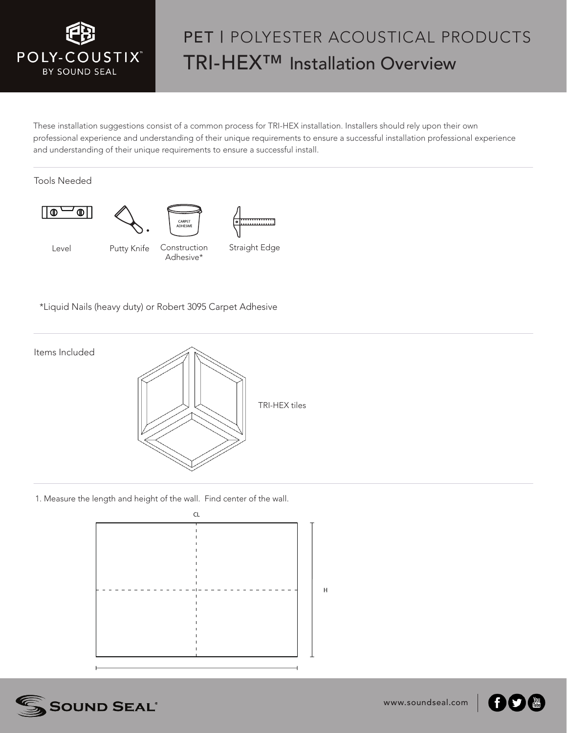

## PET I POLYESTER ACOUSTICAL PRODUCTS TRI-HEX™ Installation Overview

These installation suggestions consist of a common process for TRI-HEX installation. Installers should rely upon their own professional experience and understanding of their unique requirements to ensure a successful installation professional experience and understanding of their unique requirements to ensure a successful install.

Tools Needed



\*Liquid Nails (heavy duty) or Robert 3095 Carpet Adhesive



 $\overline{H}$ 

1. Measure the length and height of the wall. Find center of the wall.





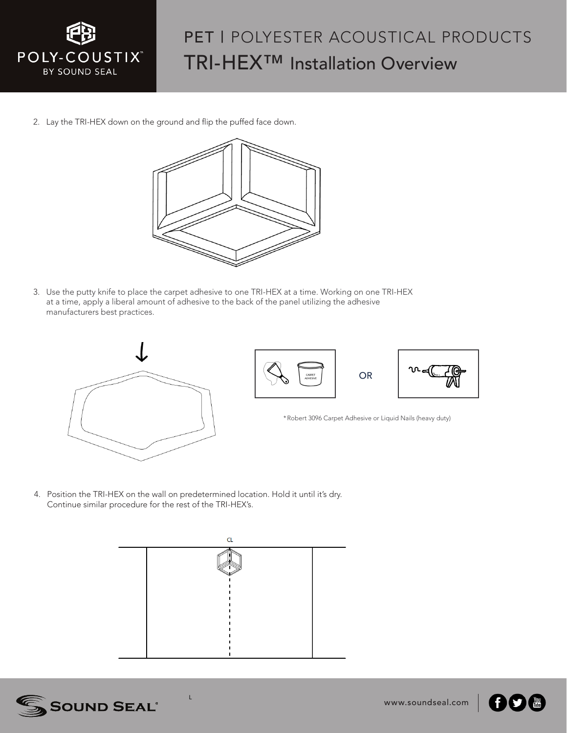

## PET | POLYESTER ACOUSTICAL PRODUCTS TRI-HEX™ Installation Overview

2. Lay the TRI-HEX down on the ground and flip the puffed face down.



3. Use the putty knife to place the carpet adhesive to one TRI-HEX at a time. Working on one TRI-HEX at a time, apply a liberal amount of adhesive to the back of the panel utilizing the adhesive manufacturers best practices.



**OR** 



\*Robert 3096 Carpet Adhesive or Liquid Nails (heavy duty)

4. Position the TRI-HEX on the wall on predetermined location. Hold it until it's dry. Continue similar procedure for the rest of the TRI-HEX's.

L